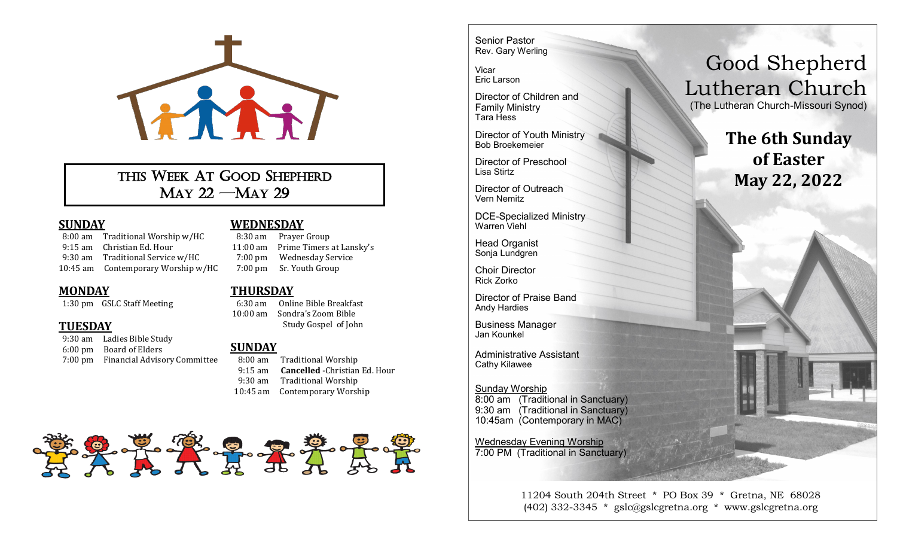

THIS WEEK AT GOOD SHEPHERD MAY 22 —MAY 29

### **SUNDAY**

 8:00 am Traditional Worship w/HC 9:15 am Christian Ed. Hour 9:30 am Traditional Service w/HC 10:45 am Contemporary Worship w/HC

### **MONDAY**

1:30 pm GSLC Staff Meeting

## **TUESDAY**

 9:30 am Ladies Bible Study 6:00 pm Board of Elders 7:00 pm Financial Advisory Committee

#### **WEDNESDAY**

 8:30 am Prayer Group 11:00 am Prime Timers at Lansky's 7:00 pm Wednesday Service 7:00 pm Sr. Youth Group

#### **THURSDAY**

 6:30 am Online Bible Breakfast 10:00 am Sondra's Zoom Bible Study Gospel of John

## **SUNDAY**

 8:00 am Traditional Worship 9:15 am **Cancelled** -Christian Ed. Hour 9:30 am Traditional Worship 10:45 am Contemporary Worship



Senior Pastor Rev. Gary Werling

Vicar Eric Larson

Director of Children and Family Ministry Tara Hess

Director of Youth Ministry Bob Broekemeier

Director of Preschool Lisa Stirtz

Director of Outreach Vern Nemitz

DCE-Specialized Ministry Warren Viehl

Head Organist Sonja Lundgren

Choir Director Rick Zorko

Director of Praise Band Andy Hardies

Business Manager Jan Kounkel

Administrative Assistant Cathy Kilawee

#### Sunday Worship 8:00 am (Traditional in Sanctuary) 9:30 am (Traditional in Sanctuary) 10:45am (Contemporary in MAC)

Wednesday Evening Worship 7:00 PM (Traditional in Sanctuary)

> 11204 South 204th Street \* PO Box 39 \* Gretna, NE 68028 (402) 332-3345 \* gslc@gslcgretna.org \* www.gslcgretna.org

# Good Shepherd Lutheran Church

(The Lutheran Church-Missouri Synod)

**The 6th Sunday of Easter May 22, 2022**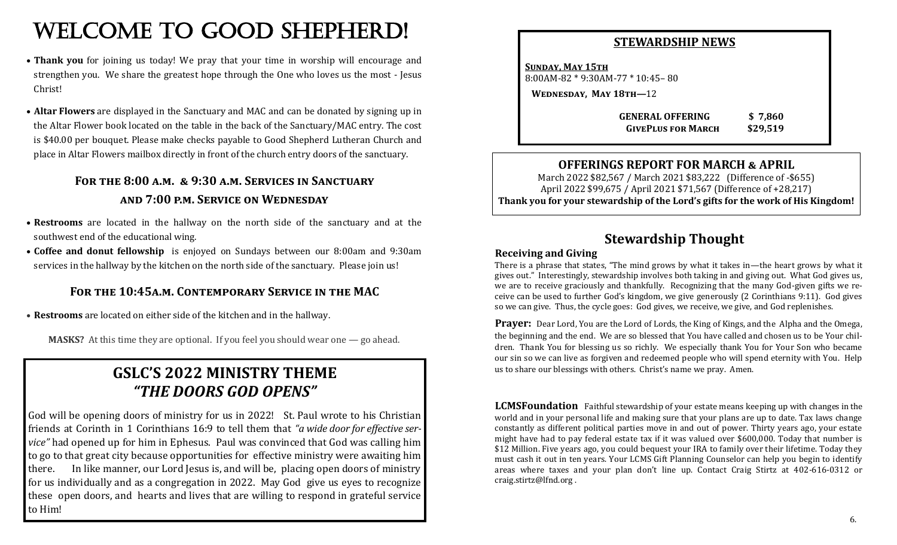# WELCOME TO GOOD SHEPHERD!

- **Thank you** for joining us today! We pray that your time in worship will encourage and strengthen you. We share the greatest hope through the One who loves us the most - Jesus Christ!
- **Altar Flowers** are displayed in the Sanctuary and MAC and can be donated by signing up in the Altar Flower book located on the table in the back of the Sanctuary/MAC entry. The cost is \$40.00 per bouquet. Please make checks payable to Good Shepherd Lutheran Church and place in Altar Flowers mailbox directly in front of the church entry doors of the sanctuary.

# **For the 8:00 a.m. & 9:30 a.m. Services in Sanctuary and 7:00 p.m. Service on Wednesday**

- **Restrooms** are located in the hallway on the north side of the sanctuary and at the southwest end of the educational wing.
- **Coffee and donut fellowship** is enjoyed on Sundays between our 8:00am and 9:30am services in the hallway by the kitchen on the north side of the sanctuary. Please join us!

## **For the 10:45a.m. Contemporary Service in the MAC**

• **Restrooms** are located on either side of the kitchen and in the hallway.

**MASKS?** At this time they are optional. If you feel you should wear one — go ahead.

# **GSLC'S 2022 MINISTRY THEME** *"THE DOORS GOD OPENS"*

God will be opening doors of ministry for us in 2022! St. Paul wrote to his Christian friends at Corinth in 1 Corinthians 16:9 to tell them that *"a wide door for effective service*" had opened up for him in Ephesus. Paul was convinced that God was calling him to go to that great city because opportunities for effective ministry were awaiting him there. In like manner, our Lord Jesus is, and will be, placing open doors of ministry for us individually and as a congregation in 2022. May God give us eyes to recognize these open doors, and hearts and lives that are willing to respond in grateful service to Him!

| SIEWARDSHIP NEWS                                              |                     |
|---------------------------------------------------------------|---------------------|
| <b>SUNDAY, MAY 15TH</b><br>$8:00AM-82 * 9:30AM-77 * 10:45-80$ |                     |
| <b>WEDNESDAY, MAY 18TH-12</b>                                 |                     |
| <b>GENERAL OFFERING</b><br><b>GIVEPLUS FOR MARCH</b>          | \$7,860<br>\$29,519 |

COUNTAIN DIN NEWS*IC* 

## **OFFERINGS REPORT FOR MARCH & APRIL**

March 2022 \$82,567 / March 2021 \$83,222 (Difference of -\$655) April 2022 \$99,675 / April 2021 \$71,567 (Difference of +28,217) **Thank you for your stewardship of the Lord's gifts for the work of His Kingdom!**

# **Stewardship Thought**

#### **Receiving and Giving**

There is a phrase that states, "The mind grows by what it takes in—the heart grows by what it gives out." Interestingly, stewardship involves both taking in and giving out. What God gives us, we are to receive graciously and thankfully. Recognizing that the many God-given gifts we receive can be used to further God's kingdom, we give generously (2 Corinthians 9:11). God gives so we can give. Thus, the cycle goes: God gives, we receive, we give, and God replenishes.

**Prayer:** Dear Lord, You are the Lord of Lords, the King of Kings, and the Alpha and the Omega, the beginning and the end. We are so blessed that You have called and chosen us to be Your children. Thank You for blessing us so richly. We especially thank You for Your Son who became our sin so we can live as forgiven and redeemed people who will spend eternity with You. Help us to share our blessings with others. Christ's name we pray. Amen.

**LCMSFoundation** Faithful stewardship of your estate means keeping up with changes in the world and in your personal life and making sure that your plans are up to date. Tax laws change constantly as different political parties move in and out of power. Thirty years ago, your estate might have had to pay federal estate tax if it was valued over \$600,000. Today that number is \$12 Million. Five years ago, you could bequest your IRA to family over their lifetime. Today they must cash it out in ten years. Your LCMS Gift Planning Counselor can help you begin to identify areas where taxes and your plan don't line up. Contact Craig Stirtz at 402-616-0312 or craig.stirtz@lfnd.org .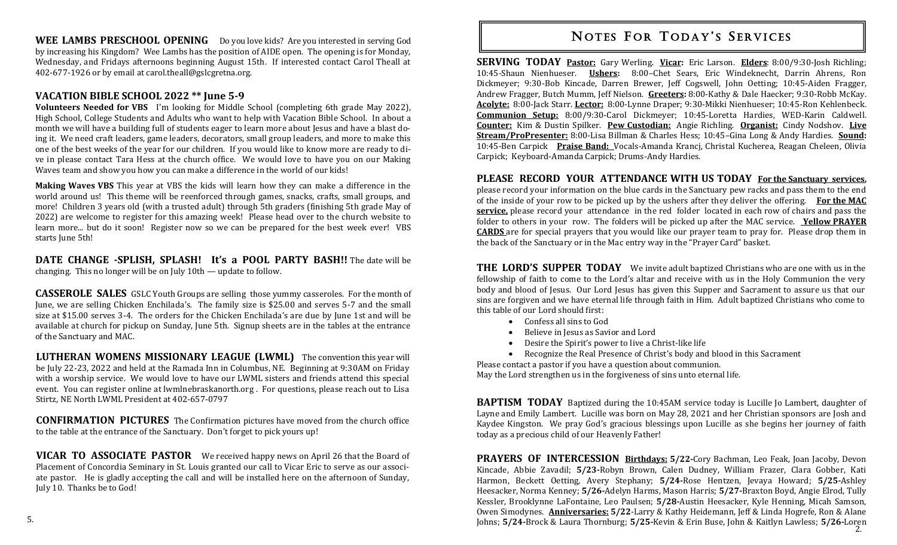**WEE LAMBS PRESCHOOL OPENING** Do you love kids? Are you interested in serving God by increasing his Kingdom? Wee Lambs has the position of AIDE open. The opening is for Monday, Wednesday, and Fridays afternoons beginning August 15th. If interested contact Carol Theall at 402-677-1926 or by email at carol.theall@gslcgretna.org.

#### **VACATION BIBLE SCHOOL 2022 \*\* June 5-9**

**Volunteers Needed for VBS** I'm looking for Middle School (completing 6th grade May 2022), High School, College Students and Adults who want to help with Vacation Bible School. In about a month we will have a building full of students eager to learn more about Jesus and have a blast doing it. We need craft leaders, game leaders, decorators, small group leaders, and more to make this one of the best weeks of the year for our children. If you would like to know more are ready to dive in please contact Tara Hess at the church office. We would love to have you on our Making Waves team and show you how you can make a difference in the world of our kids!

**Making Waves VBS** This year at VBS the kids will learn how they can make a difference in the world around us! This theme will be reenforced through games, snacks, crafts, small groups, and more! Children 3 years old (with a trusted adult) through 5th graders (finishing 5th grade May of 2022) are welcome to register for this amazing week! Please head over to the church website to learn more... but do it soon! Register now so we can be prepared for the best week ever! VBS starts June 5th!

**DATE CHANGE -SPLISH, SPLASH! It's a POOL PARTY BASH!!** The date will be changing. This no longer will be on July 10th — update to follow.

**CASSEROLE SALES** GSLC Youth Groups are selling those yummy casseroles. For the month of June, we are selling Chicken Enchilada's. The family size is \$25.00 and serves 5-7 and the small size at \$15.00 serves 3-4. The orders for the Chicken Enchilada's are due by June 1st and will be available at church for pickup on Sunday, June 5th. Signup sheets are in the tables at the entrance of the Sanctuary and MAC.

**LUTHERAN WOMENS MISSIONARY LEAGUE (LWML)** The convention this year will be July 22-23, 2022 and held at the Ramada Inn in Columbus, NE. Beginning at 9:30AM on Friday with a worship service. We would love to have our LWML sisters and friends attend this special event. You can register online at lwmlnebraskanorth.org . For questions, please reach out to Lisa Stirtz, NE North LWML President at 402-657-0797

**CONFIRMATION PICTURES** The Confirmation pictures have moved from the church office to the table at the entrance of the Sanctuary. Don't forget to pick yours up!

**VICAR TO ASSOCIATE PASTOR** We received happy news on April 26 that the Board of Placement of Concordia Seminary in St. Louis granted our call to Vicar Eric to serve as our associate pastor. He is gladly accepting the call and will be installed here on the afternoon of Sunday, July 10. Thanks be to God!

# **NOTES FOR TODAY'S SERVICES**

**SERVING TODAY Pastor:** Gary Werling. **Vicar:** Eric Larson. **Elders**: 8:00/9:30-Josh Richling; 10:45-Shaun Nienhueser. **Ushers:** 8:00–Chet Sears, Eric Windeknecht, Darrin Ahrens, Ron Dickmeyer; 9:30-Bob Kincade, Darren Brewer, Jeff Cogswell, John Oetting; 10:45-Aiden Fragger, Andrew Fragger, Butch Mumm, Jeff Nielson. **Greeters:** 8:00-Kathy & Dale Haecker; 9:30-Robb McKay. **Acolyte:** 8:00-Jack Starr. **Lector:** 8:00-Lynne Draper; 9:30-Mikki Nienhueser; 10:45-Ron Kehlenbeck. **Communion Setup:** 8:00/9:30-Carol Dickmeyer; 10:45-Loretta Hardies, WED-Karin Caldwell. **Counter:** Kim & Dustin Spilker. **Pew Custodian:** Angie Richling. **Organist:** Cindy Nodshov. **Live Stream/ProPresenter:** 8:00-Lisa Billman & Charles Hess; 10:45–Gina Long & Andy Hardies. **Sound:**  10:45-Ben Carpick **Praise Band:** Vocals-Amanda Krancj, Christal Kucherea, Reagan Cheleen, Olivia Carpick; Keyboard-Amanda Carpick; Drums-Andy Hardies.

#### **PLEASE RECORD YOUR ATTENDANCE WITH US TODAY For the Sanctuary services,**

please record your information on the blue cards in the Sanctuary pew racks and pass them to the end of the inside of your row to be picked up by the ushers after they deliver the offering. **For the MAC service,** please record your attendance in the red folder located in each row of chairs and pass the folder to others in your row. The folders will be picked up after the MAC service. **Yellow PRAYER CARDS** are for special prayers that you would like our prayer team to pray for. Please drop them in the back of the Sanctuary or in the Mac entry way in the "Prayer Card" basket.

**THE LORD'S SUPPER TODAY** We invite adult baptized Christians who are one with us in the fellowship of faith to come to the Lord's altar and receive with us in the Holy Communion the very body and blood of Jesus. Our Lord Jesus has given this Supper and Sacrament to assure us that our sins are forgiven and we have eternal life through faith in Him. Adult baptized Christians who come to this table of our Lord should first:

- Confess all sins to God
- Believe in Jesus as Savior and Lord
- Desire the Spirit's power to live a Christ-like life
- Recognize the Real Presence of Christ's body and blood in this Sacrament

Please contact a pastor if you have a question about communion. May the Lord strengthen us in the forgiveness of sins unto eternal life.

**BAPTISM TODAY** Baptized during the 10:45AM service today is Lucille Jo Lambert, daughter of Layne and Emily Lambert. Lucille was born on May 28, 2021 and her Christian sponsors are Josh and Kaydee Kingston. We pray God's gracious blessings upon Lucille as she begins her journey of faith today as a precious child of our Heavenly Father!

2. Johns; **5/24-**Brock & Laura Thornburg; **5/25-**Kevin & Erin Buse, John & Kaitlyn Lawless; **5/26-**Loren **PRAYERS OF INTERCESSION Birthdays: 5/22-**Cory Bachman, Leo Feak, Joan Jacoby, Devon Kincade, Abbie Zavadil; **5/23-**Robyn Brown, Calen Dudney, William Frazer, Clara Gobber, Kati Harmon, Beckett Oetting, Avery Stephany; **5/24-**Rose Hentzen, Jevaya Howard; **5/25-**Ashley Heesacker, Norma Kenney; **5/26-**Adelyn Harms, Mason Harris; **5/27-**Braxton Boyd, Angie Elrod, Tully Kessler, Brooklynne LaFontaine, Leo Paulsen; **5/28-**Austin Heesacker, Kyle Henning, Micah Samson, Owen Simodynes. **Anniversaries: 5/22**-Larry & Kathy Heidemann, Jeff & Linda Hogrefe, Ron & Alane